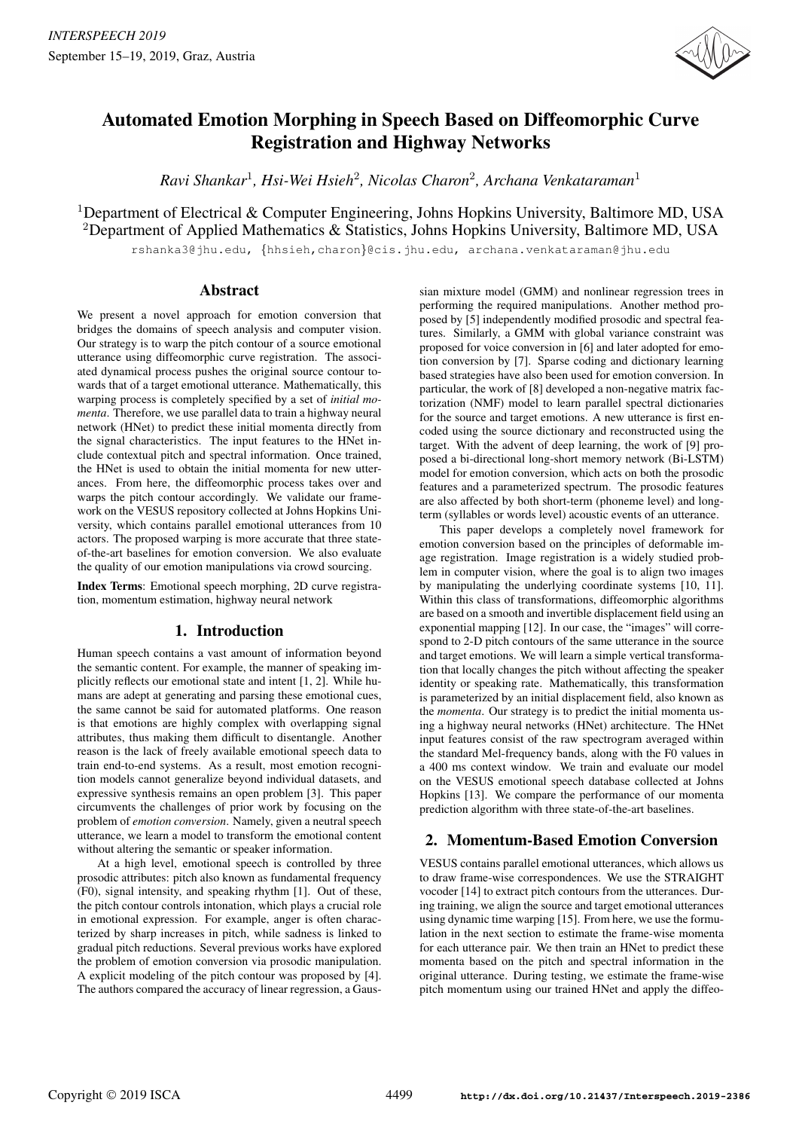

# Automated Emotion Morphing in Speech Based on Diffeomorphic Curve Registration and Highway Networks

*Ravi Shankar*<sup>1</sup> *, Hsi-Wei Hsieh*<sup>2</sup> *, Nicolas Charon*<sup>2</sup> *, Archana Venkataraman*<sup>1</sup>

<sup>1</sup>Department of Electrical & Computer Engineering, Johns Hopkins University, Baltimore MD, USA <sup>2</sup>Department of Applied Mathematics  $\&$  Statistics, Johns Hopkins University, Baltimore MD, USA

rshanka3@jhu.edu, {hhsieh,charon}@cis.jhu.edu, archana.venkataraman@jhu.edu

## Abstract

We present a novel approach for emotion conversion that bridges the domains of speech analysis and computer vision. Our strategy is to warp the pitch contour of a source emotional utterance using diffeomorphic curve registration. The associated dynamical process pushes the original source contour towards that of a target emotional utterance. Mathematically, this warping process is completely specified by a set of *initial momenta*. Therefore, we use parallel data to train a highway neural network (HNet) to predict these initial momenta directly from the signal characteristics. The input features to the HNet include contextual pitch and spectral information. Once trained, the HNet is used to obtain the initial momenta for new utterances. From here, the diffeomorphic process takes over and warps the pitch contour accordingly. We validate our framework on the VESUS repository collected at Johns Hopkins University, which contains parallel emotional utterances from 10 actors. The proposed warping is more accurate that three stateof-the-art baselines for emotion conversion. We also evaluate the quality of our emotion manipulations via crowd sourcing.

Index Terms: Emotional speech morphing, 2D curve registration, momentum estimation, highway neural network

# 1. Introduction

Human speech contains a vast amount of information beyond the semantic content. For example, the manner of speaking implicitly reflects our emotional state and intent [1, 2]. While humans are adept at generating and parsing these emotional cues, the same cannot be said for automated platforms. One reason is that emotions are highly complex with overlapping signal attributes, thus making them difficult to disentangle. Another reason is the lack of freely available emotional speech data to train end-to-end systems. As a result, most emotion recognition models cannot generalize beyond individual datasets, and expressive synthesis remains an open problem [3]. This paper circumvents the challenges of prior work by focusing on the problem of *emotion conversion*. Namely, given a neutral speech utterance, we learn a model to transform the emotional content without altering the semantic or speaker information.

At a high level, emotional speech is controlled by three prosodic attributes: pitch also known as fundamental frequency (F0), signal intensity, and speaking rhythm [1]. Out of these, the pitch contour controls intonation, which plays a crucial role in emotional expression. For example, anger is often characterized by sharp increases in pitch, while sadness is linked to gradual pitch reductions. Several previous works have explored the problem of emotion conversion via prosodic manipulation. A explicit modeling of the pitch contour was proposed by [4]. The authors compared the accuracy of linear regression, a Gaus-

sian mixture model (GMM) and nonlinear regression trees in performing the required manipulations. Another method proposed by [5] independently modified prosodic and spectral features. Similarly, a GMM with global variance constraint was proposed for voice conversion in [6] and later adopted for emotion conversion by [7]. Sparse coding and dictionary learning based strategies have also been used for emotion conversion. In particular, the work of [8] developed a non-negative matrix factorization (NMF) model to learn parallel spectral dictionaries for the source and target emotions. A new utterance is first encoded using the source dictionary and reconstructed using the target. With the advent of deep learning, the work of [9] proposed a bi-directional long-short memory network (Bi-LSTM) model for emotion conversion, which acts on both the prosodic features and a parameterized spectrum. The prosodic features are also affected by both short-term (phoneme level) and longterm (syllables or words level) acoustic events of an utterance.

This paper develops a completely novel framework for emotion conversion based on the principles of deformable image registration. Image registration is a widely studied problem in computer vision, where the goal is to align two images by manipulating the underlying coordinate systems [10, 11]. Within this class of transformations, diffeomorphic algorithms are based on a smooth and invertible displacement field using an exponential mapping [12]. In our case, the "images" will correspond to 2-D pitch contours of the same utterance in the source and target emotions. We will learn a simple vertical transformation that locally changes the pitch without affecting the speaker identity or speaking rate. Mathematically, this transformation is parameterized by an initial displacement field, also known as the *momenta*. Our strategy is to predict the initial momenta using a highway neural networks (HNet) architecture. The HNet input features consist of the raw spectrogram averaged within the standard Mel-frequency bands, along with the F0 values in a 400 ms context window. We train and evaluate our model on the VESUS emotional speech database collected at Johns Hopkins [13]. We compare the performance of our momenta prediction algorithm with three state-of-the-art baselines.

### 2. Momentum-Based Emotion Conversion

VESUS contains parallel emotional utterances, which allows us to draw frame-wise correspondences. We use the STRAIGHT vocoder [14] to extract pitch contours from the utterances. During training, we align the source and target emotional utterances using dynamic time warping [15]. From here, we use the formulation in the next section to estimate the frame-wise momenta for each utterance pair. We then train an HNet to predict these momenta based on the pitch and spectral information in the original utterance. During testing, we estimate the frame-wise pitch momentum using our trained HNet and apply the diffeo-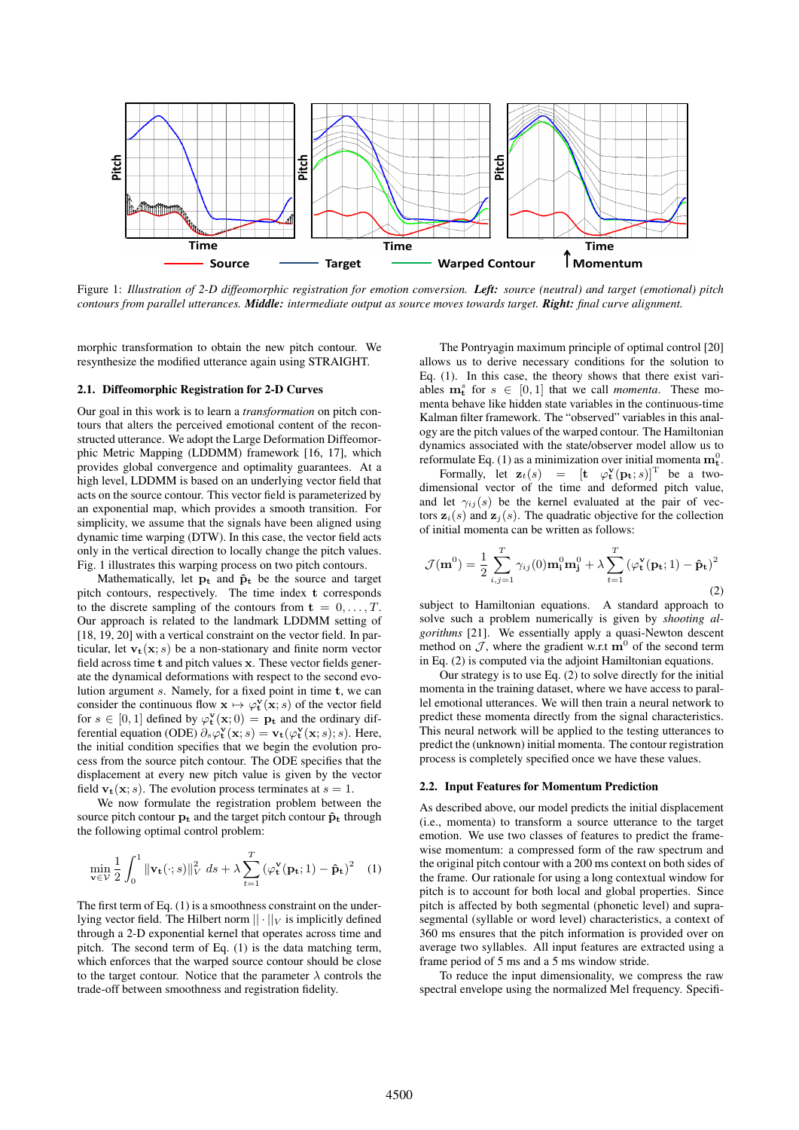

Figure 1: *Illustration of 2-D diffeomorphic registration for emotion conversion. Left: source (neutral) and target (emotional) pitch contours from parallel utterances. Middle: intermediate output as source moves towards target. Right: final curve alignment.*

morphic transformation to obtain the new pitch contour. We resynthesize the modified utterance again using STRAIGHT.

#### 2.1. Diffeomorphic Registration for 2-D Curves

Our goal in this work is to learn a *transformation* on pitch contours that alters the perceived emotional content of the reconstructed utterance. We adopt the Large Deformation Diffeomorphic Metric Mapping (LDDMM) framework [16, 17], which provides global convergence and optimality guarantees. At a high level, LDDMM is based on an underlying vector field that acts on the source contour. This vector field is parameterized by an exponential map, which provides a smooth transition. For simplicity, we assume that the signals have been aligned using dynamic time warping (DTW). In this case, the vector field acts only in the vertical direction to locally change the pitch values. Fig. 1 illustrates this warping process on two pitch contours.

Mathematically, let  $\mathbf{p}_t$  and  $\hat{\mathbf{p}}_t$  be the source and target pitch contours, respectively. The time index t corresponds to the discrete sampling of the contours from  $\mathbf{t} = 0, \ldots, T$ . Our approach is related to the landmark LDDMM setting of [18, 19, 20] with a vertical constraint on the vector field. In particular, let  $\mathbf{v}_t(\mathbf{x}; s)$  be a non-stationary and finite norm vector field across time t and pitch values x. These vector fields generate the dynamical deformations with respect to the second evolution argument s. Namely, for a fixed point in time t, we can consider the continuous flow  $\mathbf{x} \mapsto \varphi_{\mathbf{t}}^{\mathbf{v}}(\mathbf{x}; s)$  of the vector field for  $s \in [0,1]$  defined by  $\varphi_t^{\mathbf{v}}(\mathbf{x};0) = \mathbf{p_t}$  and the ordinary differential equation (ODE)  $\partial_s \varphi_t^{\mathbf{v}}(\mathbf{x};s) = \mathbf{v}_t(\varphi_t^{\mathbf{v}}(\mathbf{x};s);s)$ . Here, the initial condition specifies that we begin the evolution process from the source pitch contour. The ODE specifies that the displacement at every new pitch value is given by the vector field  $\mathbf{v}_t(\mathbf{x}; s)$ . The evolution process terminates at  $s = 1$ .

We now formulate the registration problem between the source pitch contour  $p_t$  and the target pitch contour  $\hat{p}_t$  through the following optimal control problem:

$$
\min_{\mathbf{v}\in\mathcal{V}}\frac{1}{2}\int_0^1 \|\mathbf{v_t}(\cdot; s)\|_{V}^2 ds + \lambda \sum_{t=1}^T (\varphi_{\mathbf{t}}^{\mathbf{v}}(\mathbf{p_t}; 1) - \hat{\mathbf{p}}_{\mathbf{t}})^2 \quad (1)
$$

The first term of Eq. (1) is a smoothness constraint on the underlying vector field. The Hilbert norm  $|| \cdot ||_V$  is implicitly defined through a 2-D exponential kernel that operates across time and pitch. The second term of Eq. (1) is the data matching term, which enforces that the warped source contour should be close to the target contour. Notice that the parameter  $\lambda$  controls the trade-off between smoothness and registration fidelity.

The Pontryagin maximum principle of optimal control [20] allows us to derive necessary conditions for the solution to Eq. (1). In this case, the theory shows that there exist variables  $m_t^s$  for  $s \in [0,1]$  that we call *momenta*. These momenta behave like hidden state variables in the continuous-time Kalman filter framework. The "observed" variables in this analogy are the pitch values of the warped contour. The Hamiltonian dynamics associated with the state/observer model allow us to reformulate Eq. (1) as a minimization over initial momenta  $m_t^0$ .

Formally, let  $\mathbf{z}_t(s) = [\mathbf{t} \quad \varphi_{\mathbf{t}}^{\mathbf{v}}(\mathbf{p_t}; s)]^{\mathrm{T}}$  be a twodimensional vector of the time and deformed pitch value, and let  $\gamma_{ij}(s)$  be the kernel evaluated at the pair of vectors  $z_i(s)$  and  $z_j(s)$ . The quadratic objective for the collection of initial momenta can be written as follows:

$$
\mathcal{J}(\mathbf{m}^0) = \frac{1}{2} \sum_{i,j=1}^T \gamma_{ij}(0) \mathbf{m}_i^0 \mathbf{m}_j^0 + \lambda \sum_{t=1}^T (\varphi_{\mathbf{t}}^{\mathbf{v}}(\mathbf{p}_{\mathbf{t}}; 1) - \hat{\mathbf{p}}_{\mathbf{t}})^2
$$
\n(2)

subject to Hamiltonian equations. A standard approach to solve such a problem numerically is given by *shooting algorithms* [21]. We essentially apply a quasi-Newton descent method on  $\mathcal{J}$ , where the gradient w.r.t m<sup>0</sup> of the second term in Eq. (2) is computed via the adjoint Hamiltonian equations.

Our strategy is to use Eq. (2) to solve directly for the initial momenta in the training dataset, where we have access to parallel emotional utterances. We will then train a neural network to predict these momenta directly from the signal characteristics. This neural network will be applied to the testing utterances to predict the (unknown) initial momenta. The contour registration process is completely specified once we have these values.

#### 2.2. Input Features for Momentum Prediction

As described above, our model predicts the initial displacement (i.e., momenta) to transform a source utterance to the target emotion. We use two classes of features to predict the framewise momentum: a compressed form of the raw spectrum and the original pitch contour with a 200 ms context on both sides of the frame. Our rationale for using a long contextual window for pitch is to account for both local and global properties. Since pitch is affected by both segmental (phonetic level) and suprasegmental (syllable or word level) characteristics, a context of 360 ms ensures that the pitch information is provided over on average two syllables. All input features are extracted using a frame period of 5 ms and a 5 ms window stride.

To reduce the input dimensionality, we compress the raw spectral envelope using the normalized Mel frequency. Specifi-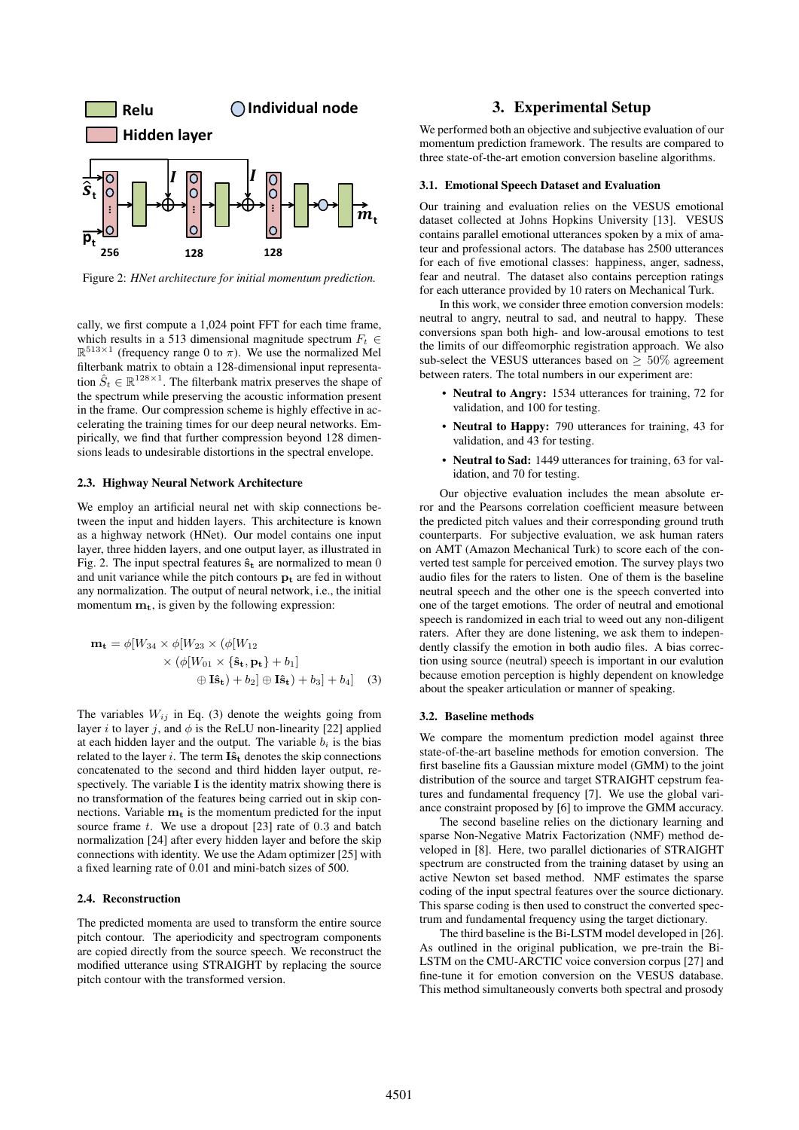

Figure 2: *HNet architecture for initial momentum prediction.*

cally, we first compute a 1,024 point FFT for each time frame, which results in a 513 dimensional magnitude spectrum  $F_t \in$  $\mathbb{R}^{513\times1}$  (frequency range 0 to  $\pi$ ). We use the normalized Mel filterbank matrix to obtain a 128-dimensional input representation  $\hat{S}_t \in \mathbb{R}^{128 \times 1}$ . The filterbank matrix preserves the shape of the spectrum while preserving the acoustic information present in the frame. Our compression scheme is highly effective in accelerating the training times for our deep neural networks. Empirically, we find that further compression beyond 128 dimensions leads to undesirable distortions in the spectral envelope.

#### 2.3. Highway Neural Network Architecture

We employ an artificial neural net with skip connections between the input and hidden layers. This architecture is known as a highway network (HNet). Our model contains one input layer, three hidden layers, and one output layer, as illustrated in Fig. 2. The input spectral features  $\hat{\mathbf{s}}_t$  are normalized to mean 0 and unit variance while the pitch contours  $p_t$  are fed in without any normalization. The output of neural network, i.e., the initial momentum  $m_t$ , is given by the following expression:

$$
\mathbf{m}_{\mathbf{t}} = \phi[W_{34} \times \phi[W_{23} \times (\phi[W_{12} \times \{\mathbf{\hat{s}}_{\mathbf{t}}, \mathbf{p}_{\mathbf{t}}\} + b_1] \times (\phi[W_{01} \times \{\mathbf{\hat{s}}_{\mathbf{t}}, \mathbf{p}_{\mathbf{t}}\} + b_1] \quad \text{(3)}
$$

The variables  $W_{ij}$  in Eq. (3) denote the weights going from layer *i* to layer *j*, and  $\phi$  is the ReLU non-linearity [22] applied at each hidden layer and the output. The variable  $b_i$  is the bias related to the layer i. The term  $\bar{\mathbf{Is}}_t$  denotes the skip connections concatenated to the second and third hidden layer output, respectively. The variable  $I$  is the identity matrix showing there is no transformation of the features being carried out in skip connections. Variable  $m_t$  is the momentum predicted for the input source frame  $t$ . We use a dropout [23] rate of  $0.3$  and batch normalization [24] after every hidden layer and before the skip connections with identity. We use the Adam optimizer [25] with a fixed learning rate of 0.01 and mini-batch sizes of 500.

#### 2.4. Reconstruction

The predicted momenta are used to transform the entire source pitch contour. The aperiodicity and spectrogram components are copied directly from the source speech. We reconstruct the modified utterance using STRAIGHT by replacing the source pitch contour with the transformed version.

## 3. Experimental Setup

We performed both an objective and subjective evaluation of our momentum prediction framework. The results are compared to three state-of-the-art emotion conversion baseline algorithms.

#### 3.1. Emotional Speech Dataset and Evaluation

Our training and evaluation relies on the VESUS emotional dataset collected at Johns Hopkins University [13]. VESUS contains parallel emotional utterances spoken by a mix of amateur and professional actors. The database has 2500 utterances for each of five emotional classes: happiness, anger, sadness, fear and neutral. The dataset also contains perception ratings for each utterance provided by 10 raters on Mechanical Turk.

In this work, we consider three emotion conversion models: neutral to angry, neutral to sad, and neutral to happy. These conversions span both high- and low-arousal emotions to test the limits of our diffeomorphic registration approach. We also sub-select the VESUS utterances based on  $\geq 50\%$  agreement between raters. The total numbers in our experiment are:

- Neutral to Angry: 1534 utterances for training, 72 for validation, and 100 for testing.
- Neutral to Happy: 790 utterances for training, 43 for validation, and 43 for testing.
- Neutral to Sad: 1449 utterances for training, 63 for validation, and 70 for testing.

Our objective evaluation includes the mean absolute error and the Pearsons correlation coefficient measure between the predicted pitch values and their corresponding ground truth counterparts. For subjective evaluation, we ask human raters on AMT (Amazon Mechanical Turk) to score each of the converted test sample for perceived emotion. The survey plays two audio files for the raters to listen. One of them is the baseline neutral speech and the other one is the speech converted into one of the target emotions. The order of neutral and emotional speech is randomized in each trial to weed out any non-diligent raters. After they are done listening, we ask them to independently classify the emotion in both audio files. A bias correction using source (neutral) speech is important in our evalution because emotion perception is highly dependent on knowledge about the speaker articulation or manner of speaking.

#### 3.2. Baseline methods

We compare the momentum prediction model against three state-of-the-art baseline methods for emotion conversion. The first baseline fits a Gaussian mixture model (GMM) to the joint distribution of the source and target STRAIGHT cepstrum features and fundamental frequency [7]. We use the global variance constraint proposed by [6] to improve the GMM accuracy.

The second baseline relies on the dictionary learning and sparse Non-Negative Matrix Factorization (NMF) method developed in [8]. Here, two parallel dictionaries of STRAIGHT spectrum are constructed from the training dataset by using an active Newton set based method. NMF estimates the sparse coding of the input spectral features over the source dictionary. This sparse coding is then used to construct the converted spectrum and fundamental frequency using the target dictionary.

The third baseline is the Bi-LSTM model developed in [26]. As outlined in the original publication, we pre-train the Bi-LSTM on the CMU-ARCTIC voice conversion corpus [27] and fine-tune it for emotion conversion on the VESUS database. This method simultaneously converts both spectral and prosody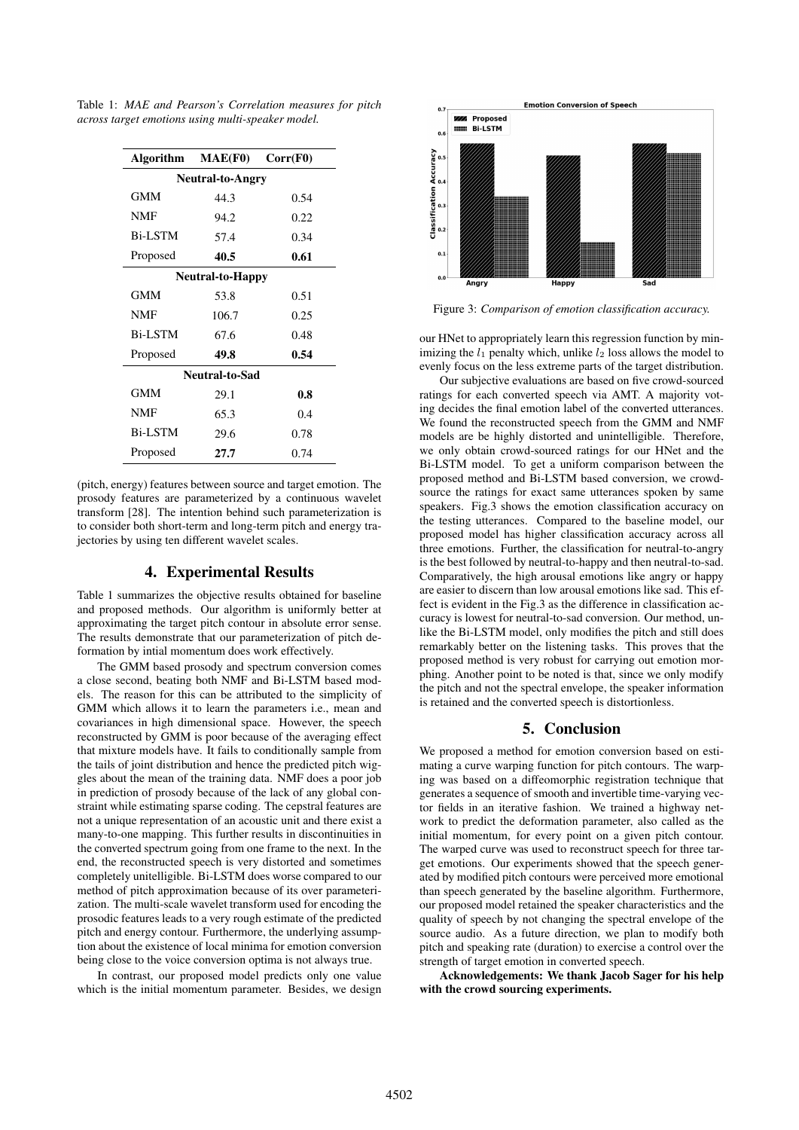| Algorithm               | MAE(F0)        | Corr(F0) |
|-------------------------|----------------|----------|
| <b>Neutral-to-Angry</b> |                |          |
| <b>GMM</b>              | 44.3           | 0.54     |
| <b>NMF</b>              | 94.2           | 0.22     |
| <b>Bi-LSTM</b>          | 57.4           | 0.34     |
| Proposed                | 40.5           | 0.61     |
| <b>Neutral-to-Happy</b> |                |          |
| <b>GMM</b>              | 53.8           | 0.51     |
| <b>NMF</b>              | 106.7          | 0.25     |
| <b>Bi-LSTM</b>          | 67.6           | 0.48     |
| Proposed                | 49.8           | 0.54     |
|                         | Neutral-to-Sad |          |
| <b>GMM</b>              | 29.1           | 0.8      |
| <b>NMF</b>              | 65.3           | 0.4      |
| <b>Bi-LSTM</b>          | 29.6           | 0.78     |
| Proposed                | 27.7           | 0.74     |

Table 1: *MAE and Pearson's Correlation measures for pitch across target emotions using multi-speaker model.*

(pitch, energy) features between source and target emotion. The prosody features are parameterized by a continuous wavelet transform [28]. The intention behind such parameterization is to consider both short-term and long-term pitch and energy trajectories by using ten different wavelet scales.

# 4. Experimental Results

Table 1 summarizes the objective results obtained for baseline and proposed methods. Our algorithm is uniformly better at approximating the target pitch contour in absolute error sense. The results demonstrate that our parameterization of pitch deformation by intial momentum does work effectively.

The GMM based prosody and spectrum conversion comes a close second, beating both NMF and Bi-LSTM based models. The reason for this can be attributed to the simplicity of GMM which allows it to learn the parameters i.e., mean and covariances in high dimensional space. However, the speech reconstructed by GMM is poor because of the averaging effect that mixture models have. It fails to conditionally sample from the tails of joint distribution and hence the predicted pitch wiggles about the mean of the training data. NMF does a poor job in prediction of prosody because of the lack of any global constraint while estimating sparse coding. The cepstral features are not a unique representation of an acoustic unit and there exist a many-to-one mapping. This further results in discontinuities in the converted spectrum going from one frame to the next. In the end, the reconstructed speech is very distorted and sometimes completely unitelligible. Bi-LSTM does worse compared to our method of pitch approximation because of its over parameterization. The multi-scale wavelet transform used for encoding the prosodic features leads to a very rough estimate of the predicted pitch and energy contour. Furthermore, the underlying assumption about the existence of local minima for emotion conversion being close to the voice conversion optima is not always true.

In contrast, our proposed model predicts only one value which is the initial momentum parameter. Besides, we design



Figure 3: *Comparison of emotion classification accuracy.*

our HNet to appropriately learn this regression function by minimizing the  $l_1$  penalty which, unlike  $l_2$  loss allows the model to evenly focus on the less extreme parts of the target distribution.

Our subjective evaluations are based on five crowd-sourced ratings for each converted speech via AMT. A majority voting decides the final emotion label of the converted utterances. We found the reconstructed speech from the GMM and NMF models are be highly distorted and unintelligible. Therefore, we only obtain crowd-sourced ratings for our HNet and the Bi-LSTM model. To get a uniform comparison between the proposed method and Bi-LSTM based conversion, we crowdsource the ratings for exact same utterances spoken by same speakers. Fig.3 shows the emotion classification accuracy on the testing utterances. Compared to the baseline model, our proposed model has higher classification accuracy across all three emotions. Further, the classification for neutral-to-angry is the best followed by neutral-to-happy and then neutral-to-sad. Comparatively, the high arousal emotions like angry or happy are easier to discern than low arousal emotions like sad. This effect is evident in the Fig.3 as the difference in classification accuracy is lowest for neutral-to-sad conversion. Our method, unlike the Bi-LSTM model, only modifies the pitch and still does remarkably better on the listening tasks. This proves that the proposed method is very robust for carrying out emotion morphing. Another point to be noted is that, since we only modify the pitch and not the spectral envelope, the speaker information is retained and the converted speech is distortionless.

### 5. Conclusion

We proposed a method for emotion conversion based on estimating a curve warping function for pitch contours. The warping was based on a diffeomorphic registration technique that generates a sequence of smooth and invertible time-varying vector fields in an iterative fashion. We trained a highway network to predict the deformation parameter, also called as the initial momentum, for every point on a given pitch contour. The warped curve was used to reconstruct speech for three target emotions. Our experiments showed that the speech generated by modified pitch contours were perceived more emotional than speech generated by the baseline algorithm. Furthermore, our proposed model retained the speaker characteristics and the quality of speech by not changing the spectral envelope of the source audio. As a future direction, we plan to modify both pitch and speaking rate (duration) to exercise a control over the strength of target emotion in converted speech.

Acknowledgements: We thank Jacob Sager for his help with the crowd sourcing experiments.